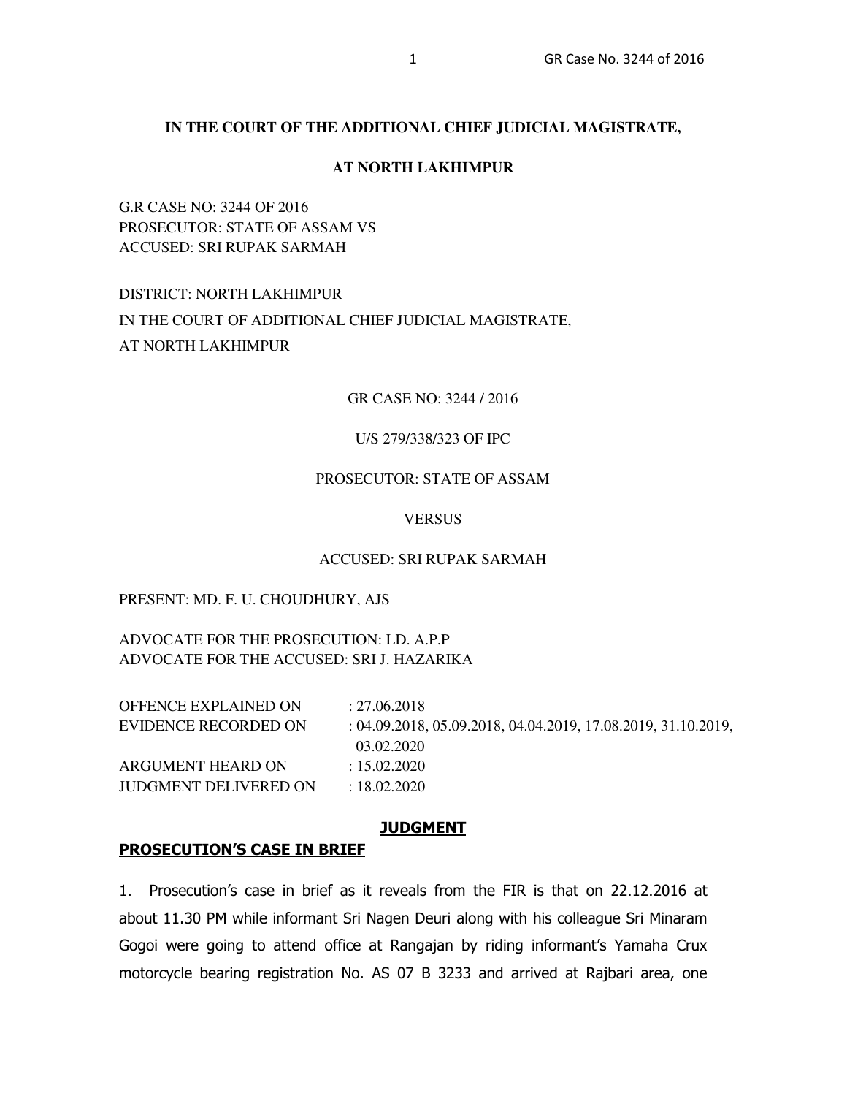#### **IN THE COURT OF THE ADDITIONAL CHIEF JUDICIAL MAGISTRATE,**

#### **AT NORTH LAKHIMPUR**

G.R CASE NO: 3244 OF 2016 PROSECUTOR: STATE OF ASSAM VS ACCUSED: SRI RUPAK SARMAH

## DISTRICT: NORTH LAKHIMPUR IN THE COURT OF ADDITIONAL CHIEF JUDICIAL MAGISTRATE, AT NORTH LAKHIMPUR

#### GR CASE NO: 3244 / 2016

#### U/S 279/338/323 OF IPC

## PROSECUTOR: STATE OF ASSAM

#### **VERSUS**

#### ACCUSED: SRI RUPAK SARMAH

#### PRESENT: MD. F. U. CHOUDHURY, AJS

ADVOCATE FOR THE PROSECUTION: LD. A.P.P ADVOCATE FOR THE ACCUSED: SRI J. HAZARIKA

| OFFENCE EXPLAINED ON         | : 27.06.2018                                                    |
|------------------------------|-----------------------------------------------------------------|
| EVIDENCE RECORDED ON         | $: 04.09.2018, 05.09.2018, 04.04.2019, 17.08.2019, 31.10.2019,$ |
|                              | 03.02.2020                                                      |
| ARGUMENT HEARD ON            | : 15.02.2020                                                    |
| <b>JUDGMENT DELIVERED ON</b> | $\pm 18.02.2020$                                                |
|                              |                                                                 |

#### **JUDGMENT**

#### **PROSECUTION'S CASE IN BRIEF**

1. Prosecution's case in brief as it reveals from the FIR is that on 22.12.2016 at about 11.30 PM while informant Sri Nagen Deuri along with his colleague Sri Minaram Gogoi were going to attend office at Rangajan by riding informant's Yamaha Crux motorcycle bearing registration No. AS 07 B 3233 and arrived at Rajbari area, one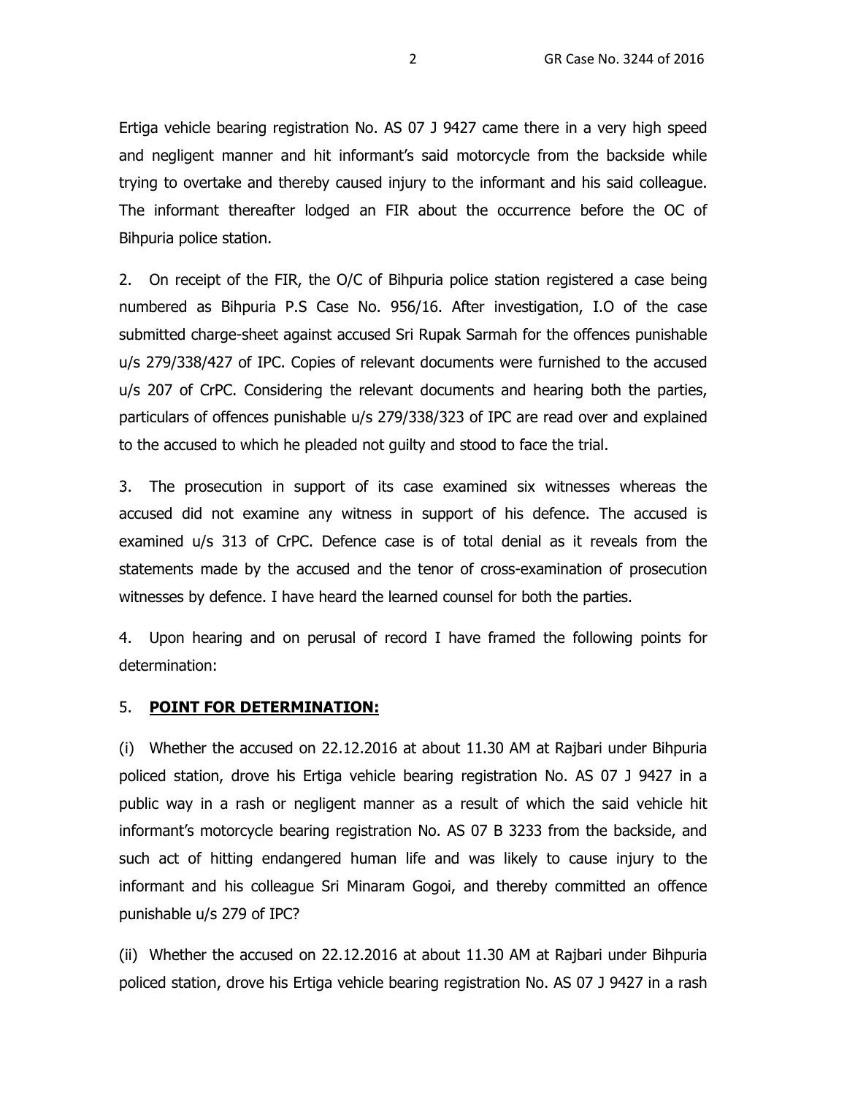Ertiga vehicle bearing registration No. AS 07 J 9427 came there in a very high speed and negligent manner and hit informant's said motorcycle from the backside while trying to overtake and thereby caused injury to the informant and his said colleague. The informant thereafter lodged an FIR about the occurrence before the OC of Bihpuria police station.

2. On receipt of the FIR, the O/C of Bihpuria police station registered a case being numbered as Bihpuria P.S Case No. 956/16. After investigation, I.O of the case submitted charge-sheet against accused Sri Rupak Sarmah for the offences punishable u/s 279/338/427 of IPC. Copies of relevant documents were furnished to the accused u/s 207 of CrPC. Considering the relevant documents and hearing both the parties, particulars of offences punishable u/s 279/338/323 of IPC are read over and explained to the accused to which he pleaded not guilty and stood to face the trial.

3. The prosecution in support of its case examined six witnesses whereas the accused did not examine any witness in support of his defence. The accused is examined u/s 313 of CrPC. Defence case is of total denial as it reveals from the statements made by the accused and the tenor of cross-examination of prosecution witnesses by defence. I have heard the learned counsel for both the parties.

4. Upon hearing and on perusal of record I have framed the following points for determination:

## 5. **POINT FOR DETERMINATION:**

(i) Whether the accused on 22.12.2016 at about 11.30 AM at Rajbari under Bihpuria policed station, drove his Ertiga vehicle bearing registration No. AS 07 J 9427 in a public way in a rash or negligent manner as a result of which the said vehicle hit informant's motorcycle bearing registration No. AS 07 B 3233 from the backside, and such act of hitting endangered human life and was likely to cause injury to the informant and his colleague Sri Minaram Gogoi, and thereby committed an offence punishable u/s 279 of IPC?

(ii) Whether the accused on 22.12.2016 at about 11.30 AM at Rajbari under Bihpuria policed station, drove his Ertiga vehicle bearing registration No. AS 07 J 9427 in a rash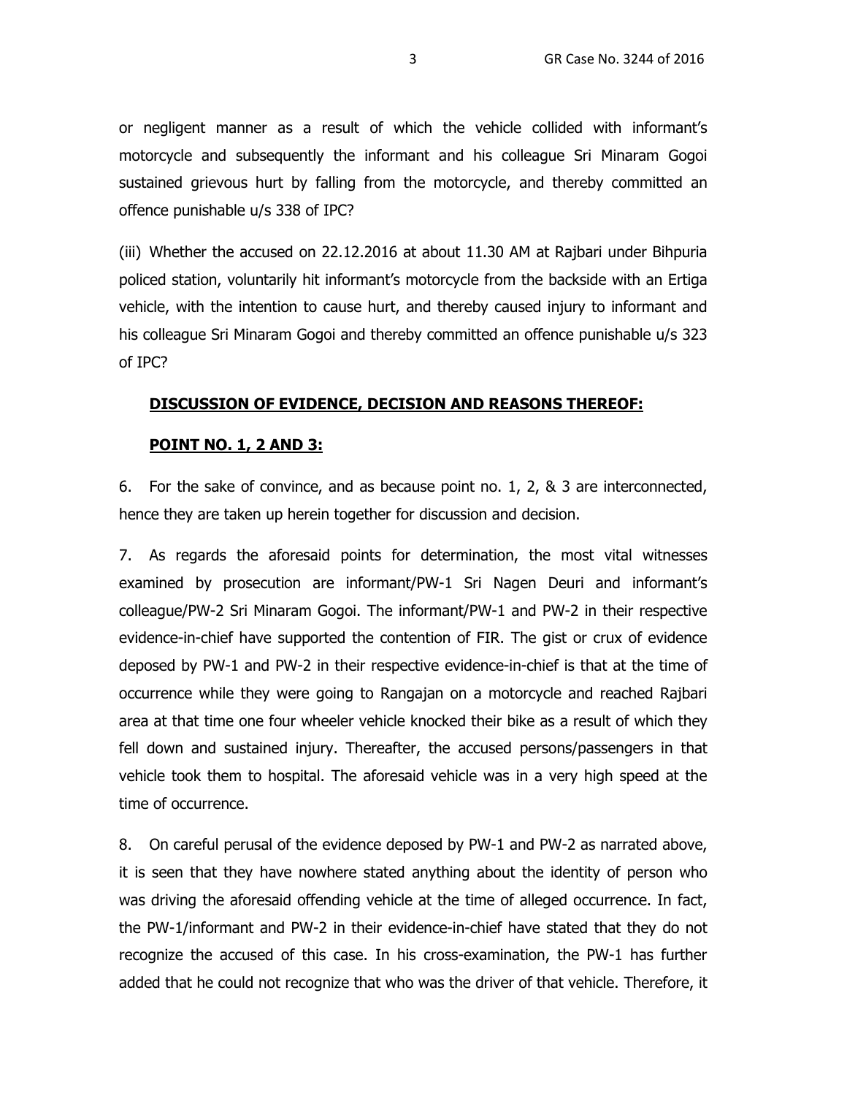or negligent manner as a result of which the vehicle collided with informant's motorcycle and subsequently the informant and his colleague Sri Minaram Gogoi sustained grievous hurt by falling from the motorcycle, and thereby committed an offence punishable u/s 338 of IPC?

(iii) Whether the accused on 22.12.2016 at about 11.30 AM at Rajbari under Bihpuria policed station, voluntarily hit informant's motorcycle from the backside with an Ertiga vehicle, with the intention to cause hurt, and thereby caused injury to informant and his colleague Sri Minaram Gogoi and thereby committed an offence punishable u/s 323 of IPC?

## **DISCUSSION OF EVIDENCE, DECISION AND REASONS THEREOF:**

## **POINT NO. 1, 2 AND 3:**

6. For the sake of convince, and as because point no. 1, 2, & 3 are interconnected, hence they are taken up herein together for discussion and decision.

7. As regards the aforesaid points for determination, the most vital witnesses examined by prosecution are informant/PW-1 Sri Nagen Deuri and informant's colleague/PW-2 Sri Minaram Gogoi. The informant/PW-1 and PW-2 in their respective evidence-in-chief have supported the contention of FIR. The gist or crux of evidence deposed by PW-1 and PW-2 in their respective evidence-in-chief is that at the time of occurrence while they were going to Rangajan on a motorcycle and reached Rajbari area at that time one four wheeler vehicle knocked their bike as a result of which they fell down and sustained injury. Thereafter, the accused persons/passengers in that vehicle took them to hospital. The aforesaid vehicle was in a very high speed at the time of occurrence.

8. On careful perusal of the evidence deposed by PW-1 and PW-2 as narrated above, it is seen that they have nowhere stated anything about the identity of person who was driving the aforesaid offending vehicle at the time of alleged occurrence. In fact, the PW-1/informant and PW-2 in their evidence-in-chief have stated that they do not recognize the accused of this case. In his cross-examination, the PW-1 has further added that he could not recognize that who was the driver of that vehicle. Therefore, it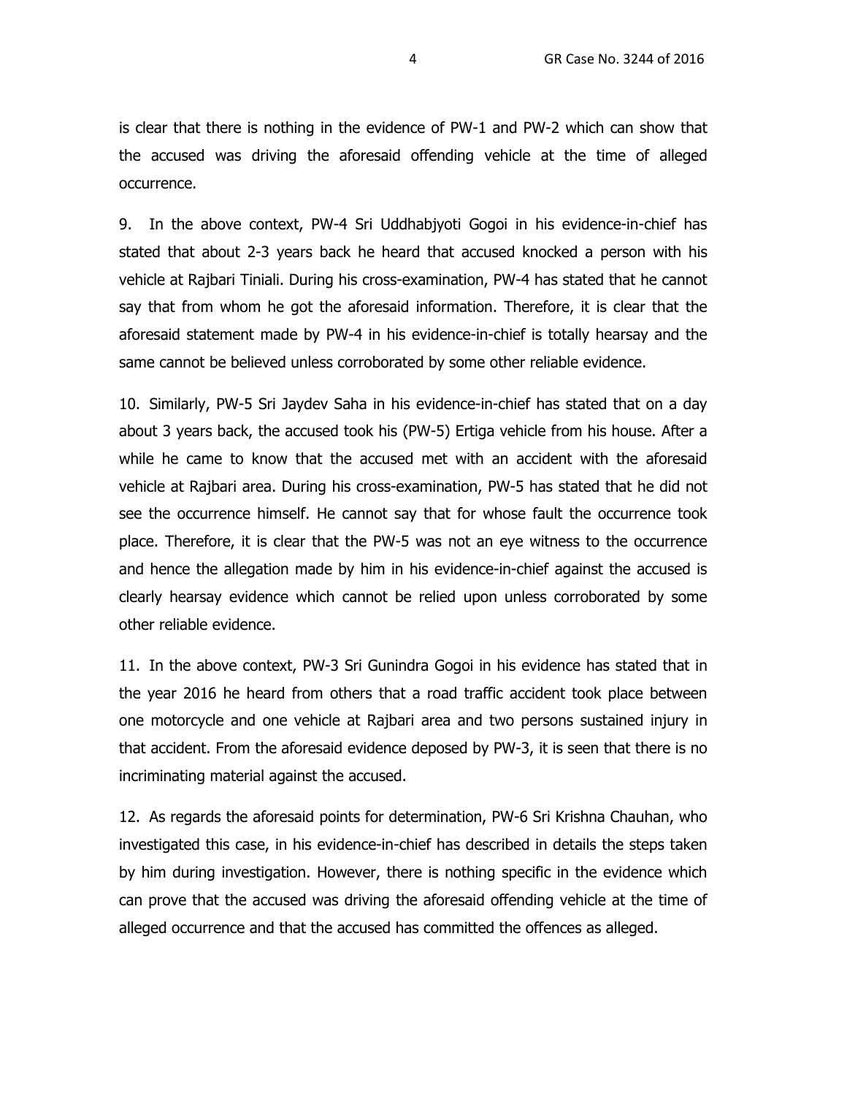is clear that there is nothing in the evidence of PW-1 and PW-2 which can show that the accused was driving the aforesaid offending vehicle at the time of alleged occurrence.

9. In the above context, PW-4 Sri Uddhabjyoti Gogoi in his evidence-in-chief has stated that about 2-3 years back he heard that accused knocked a person with his vehicle at Rajbari Tiniali. During his cross-examination, PW-4 has stated that he cannot say that from whom he got the aforesaid information. Therefore, it is clear that the aforesaid statement made by PW-4 in his evidence-in-chief is totally hearsay and the same cannot be believed unless corroborated by some other reliable evidence.

10. Similarly, PW-5 Sri Jaydev Saha in his evidence-in-chief has stated that on a day about 3 years back, the accused took his (PW-5) Ertiga vehicle from his house. After a while he came to know that the accused met with an accident with the aforesaid vehicle at Rajbari area. During his cross-examination, PW-5 has stated that he did not see the occurrence himself. He cannot say that for whose fault the occurrence took place. Therefore, it is clear that the PW-5 was not an eye witness to the occurrence and hence the allegation made by him in his evidence-in-chief against the accused is clearly hearsay evidence which cannot be relied upon unless corroborated by some other reliable evidence.

11. In the above context, PW-3 Sri Gunindra Gogoi in his evidence has stated that in the year 2016 he heard from others that a road traffic accident took place between one motorcycle and one vehicle at Rajbari area and two persons sustained injury in that accident. From the aforesaid evidence deposed by PW-3, it is seen that there is no incriminating material against the accused.

12. As regards the aforesaid points for determination, PW-6 Sri Krishna Chauhan, who investigated this case, in his evidence-in-chief has described in details the steps taken by him during investigation. However, there is nothing specific in the evidence which can prove that the accused was driving the aforesaid offending vehicle at the time of alleged occurrence and that the accused has committed the offences as alleged.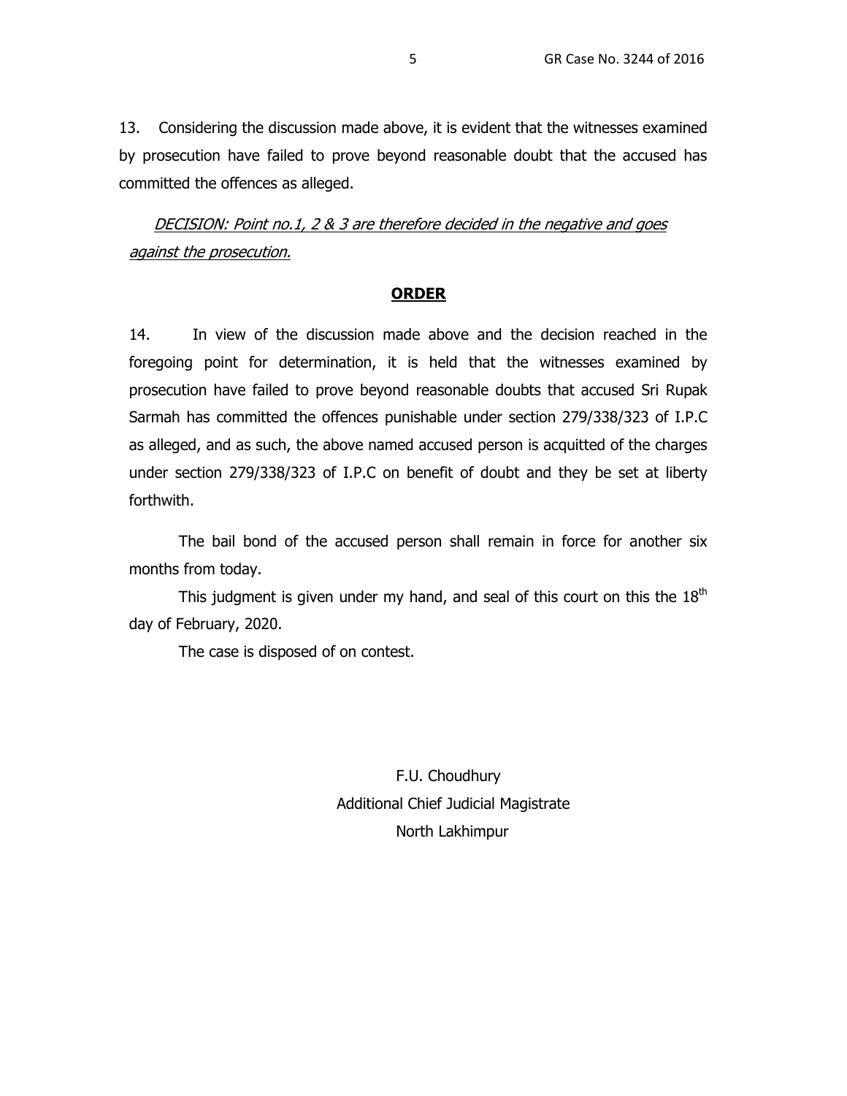13. Considering the discussion made above, it is evident that the witnesses examined by prosecution have failed to prove beyond reasonable doubt that the accused has committed the offences as alleged.

DECISION: Point no.1, 2 & 3 are therefore decided in the negative and goes against the prosecution.

#### **ORDER**

14. In view of the discussion made above and the decision reached in the foregoing point for determination, it is held that the witnesses examined by prosecution have failed to prove beyond reasonable doubts that accused Sri Rupak Sarmah has committed the offences punishable under section 279/338/323 of I.P.C as alleged, and as such, the above named accused person is acquitted of the charges under section 279/338/323 of I.P.C on benefit of doubt and they be set at liberty forthwith.

The bail bond of the accused person shall remain in force for another six months from today.

This judgment is given under my hand, and seal of this court on this the  $18<sup>th</sup>$ day of February, 2020.

The case is disposed of on contest.

 F.U. Choudhury Additional Chief Judicial Magistrate North Lakhimpur